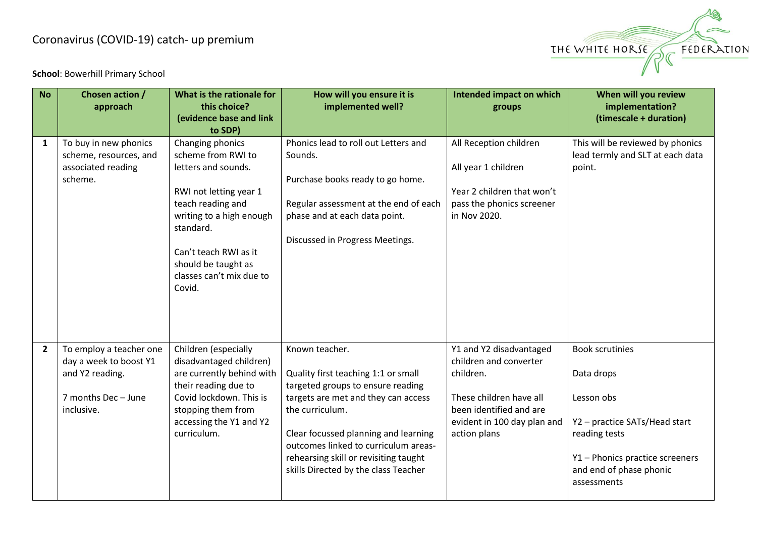## Coronavirus (COVID-19) catch- up premium



**School**: Bowerhill Primary School

| <b>No</b>      | Chosen action /<br>approach                                                                               | What is the rationale for<br>this choice?<br>(evidence base and link<br>to SDP)                                                                                                                                                             | How will you ensure it is<br>implemented well?                                                                                                                                                                                                                                                                        | Intended impact on which<br>groups                                                                                                                                  | When will you review<br>implementation?<br>(timescale + duration)                                                                                                                 |
|----------------|-----------------------------------------------------------------------------------------------------------|---------------------------------------------------------------------------------------------------------------------------------------------------------------------------------------------------------------------------------------------|-----------------------------------------------------------------------------------------------------------------------------------------------------------------------------------------------------------------------------------------------------------------------------------------------------------------------|---------------------------------------------------------------------------------------------------------------------------------------------------------------------|-----------------------------------------------------------------------------------------------------------------------------------------------------------------------------------|
| $\mathbf{1}$   | To buy in new phonics<br>scheme, resources, and<br>associated reading<br>scheme.                          | Changing phonics<br>scheme from RWI to<br>letters and sounds.<br>RWI not letting year 1<br>teach reading and<br>writing to a high enough<br>standard.<br>Can't teach RWI as it<br>should be taught as<br>classes can't mix due to<br>Covid. | Phonics lead to roll out Letters and<br>Sounds.<br>Purchase books ready to go home.<br>Regular assessment at the end of each<br>phase and at each data point.<br>Discussed in Progress Meetings.                                                                                                                      | All Reception children<br>All year 1 children<br>Year 2 children that won't<br>pass the phonics screener<br>in Nov 2020.                                            | This will be reviewed by phonics<br>lead termly and SLT at each data<br>point.                                                                                                    |
| $\overline{2}$ | To employ a teacher one<br>day a week to boost Y1<br>and Y2 reading.<br>7 months Dec - June<br>inclusive. | Children (especially<br>disadvantaged children)<br>are currently behind with<br>their reading due to<br>Covid lockdown. This is<br>stopping them from<br>accessing the Y1 and Y2<br>curriculum.                                             | Known teacher.<br>Quality first teaching 1:1 or small<br>targeted groups to ensure reading<br>targets are met and they can access<br>the curriculum.<br>Clear focussed planning and learning<br>outcomes linked to curriculum areas-<br>rehearsing skill or revisiting taught<br>skills Directed by the class Teacher | Y1 and Y2 disadvantaged<br>children and converter<br>children.<br>These children have all<br>been identified and are<br>evident in 100 day plan and<br>action plans | <b>Book scrutinies</b><br>Data drops<br>Lesson obs<br>Y2 - practice SATs/Head start<br>reading tests<br>Y1 - Phonics practice screeners<br>and end of phase phonic<br>assessments |